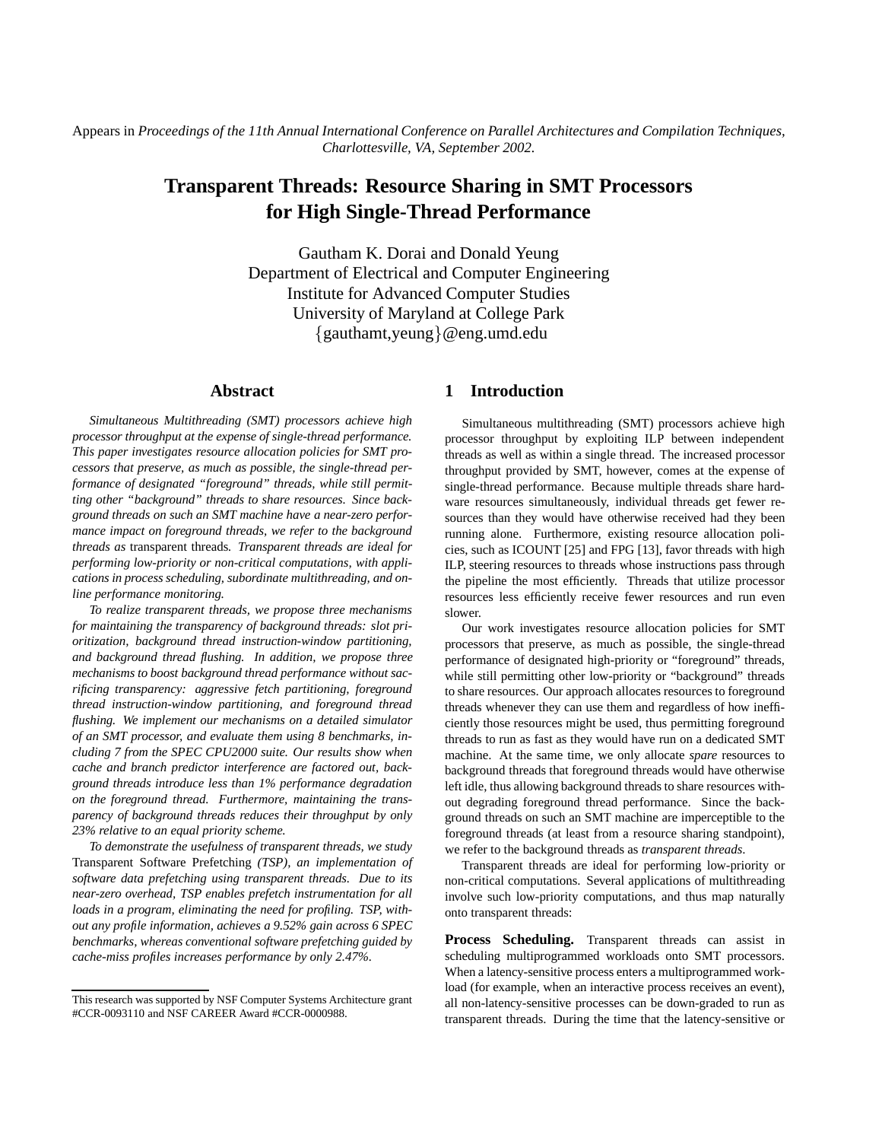Appears in *Proceedings of the 11th Annual International Conference on Parallel Architectures and Compilation Techniques, Charlottesville, VA, September 2002.*

# **Transparent Threads: Resource Sharing in SMT Processors for High Single-Thread Performance**

Gautham K. Dorai and Donald Yeung Department of Electrical and Computer Engineering Institute for Advanced Computer Studies University of Maryland at College Park {gauthamt,yeung}@eng.umd.edu

# **Abstract**

*Simultaneous Multithreading (SMT) processors achieve high processor throughput at the expense of single-thread performance. This paper investigates resource allocation policies for SMT processors that preserve, as much as possible, the single-thread performance of designated "foreground" threads, while still permitting other "background" threads to share resources. Since background threads on such an SMT machine have a near-zero performance impact on foreground threads, we refer to the background threads as* transparent threads*. Transparent threads are ideal for performing low-priority or non-critical computations, with applications in process scheduling, subordinate multithreading, and online performance monitoring.*

*To realize transparent threads, we propose three mechanisms for maintaining the transparency of background threads: slot prioritization, background thread instruction-window partitioning, and background thread flushing. In addition, we propose three mechanisms to boost background thread performance without sacrificing transparency: aggressive fetch partitioning, foreground thread instruction-window partitioning, and foreground thread flushing. We implement our mechanisms on a detailed simulator of an SMT processor, and evaluate them using 8 benchmarks, including 7 from the SPEC CPU2000 suite. Our results show when cache and branch predictor interference are factored out, background threads introduce less than 1% performance degradation on the foreground thread. Furthermore, maintaining the transparency of background threads reduces their throughput by only 23% relative to an equal priority scheme.*

*To demonstrate the usefulness of transparent threads, we study* Transparent Software Prefetching *(TSP), an implementation of software data prefetching using transparent threads. Due to its near-zero overhead, TSP enables prefetch instrumentation for all loads in a program, eliminating the need for profiling. TSP, without any profile information, achieves a 9.52% gain across 6 SPEC benchmarks, whereas conventional software prefetching guided by cache-miss profiles increases performance by only 2.47%.*

# **1 Introduction**

Simultaneous multithreading (SMT) processors achieve high processor throughput by exploiting ILP between independent threads as well as within a single thread. The increased processor throughput provided by SMT, however, comes at the expense of single-thread performance. Because multiple threads share hardware resources simultaneously, individual threads get fewer resources than they would have otherwise received had they been running alone. Furthermore, existing resource allocation policies, such as ICOUNT [25] and FPG [13], favor threads with high ILP, steering resources to threads whose instructions pass through the pipeline the most efficiently. Threads that utilize processor resources less efficiently receive fewer resources and run even slower.

Our work investigates resource allocation policies for SMT processors that preserve, as much as possible, the single-thread performance of designated high-priority or "foreground" threads, while still permitting other low-priority or "background" threads to share resources. Our approach allocates resources to foreground threads whenever they can use them and regardless of how inefficiently those resources might be used, thus permitting foreground threads to run as fast as they would have run on a dedicated SMT machine. At the same time, we only allocate *spare* resources to background threads that foreground threads would have otherwise left idle, thus allowing background threads to share resources without degrading foreground thread performance. Since the background threads on such an SMT machine are imperceptible to the foreground threads (at least from a resource sharing standpoint), we refer to the background threads as *transparent threads*.

Transparent threads are ideal for performing low-priority or non-critical computations. Several applications of multithreading involve such low-priority computations, and thus map naturally onto transparent threads:

**Process Scheduling.** Transparent threads can assist in scheduling multiprogrammed workloads onto SMT processors. When a latency-sensitive process enters a multiprogrammed workload (for example, when an interactive process receives an event), all non-latency-sensitive processes can be down-graded to run as transparent threads. During the time that the latency-sensitive or

This research was supported by NSF Computer Systems Architecture grant #CCR-0093110 and NSF CAREER Award #CCR-0000988.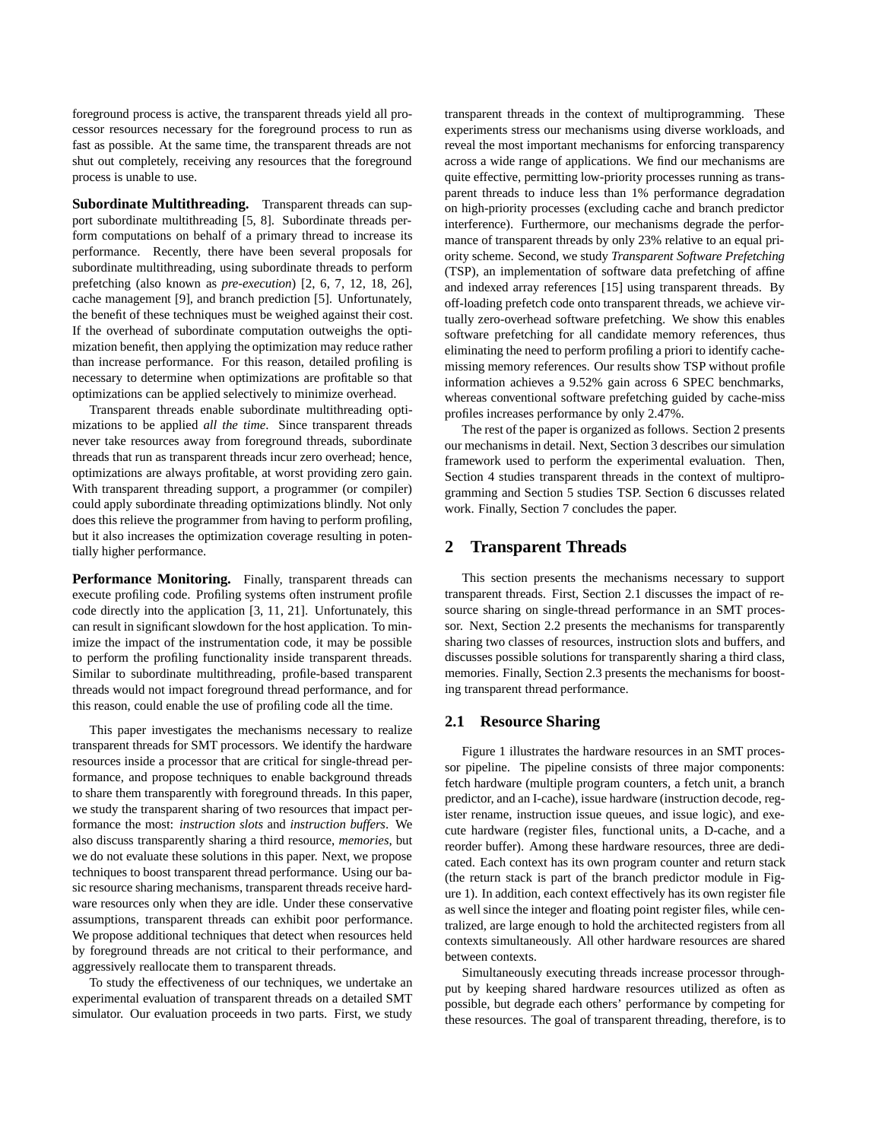foreground process is active, the transparent threads yield all processor resources necessary for the foreground process to run as fast as possible. At the same time, the transparent threads are not shut out completely, receiving any resources that the foreground process is unable to use.

**Subordinate Multithreading.** Transparent threads can support subordinate multithreading [5, 8]. Subordinate threads perform computations on behalf of a primary thread to increase its performance. Recently, there have been several proposals for subordinate multithreading, using subordinate threads to perform prefetching (also known as *pre-execution*) [2, 6, 7, 12, 18, 26], cache management [9], and branch prediction [5]. Unfortunately, the benefit of these techniques must be weighed against their cost. If the overhead of subordinate computation outweighs the optimization benefit, then applying the optimization may reduce rather than increase performance. For this reason, detailed profiling is necessary to determine when optimizations are profitable so that optimizations can be applied selectively to minimize overhead.

Transparent threads enable subordinate multithreading optimizations to be applied *all the time*. Since transparent threads never take resources away from foreground threads, subordinate threads that run as transparent threads incur zero overhead; hence, optimizations are always profitable, at worst providing zero gain. With transparent threading support, a programmer (or compiler) could apply subordinate threading optimizations blindly. Not only does this relieve the programmer from having to perform profiling, but it also increases the optimization coverage resulting in potentially higher performance.

Performance Monitoring. Finally, transparent threads can execute profiling code. Profiling systems often instrument profile code directly into the application [3, 11, 21]. Unfortunately, this can result in significant slowdown for the host application. To minimize the impact of the instrumentation code, it may be possible to perform the profiling functionality inside transparent threads. Similar to subordinate multithreading, profile-based transparent threads would not impact foreground thread performance, and for this reason, could enable the use of profiling code all the time.

This paper investigates the mechanisms necessary to realize transparent threads for SMT processors. We identify the hardware resources inside a processor that are critical for single-thread performance, and propose techniques to enable background threads to share them transparently with foreground threads. In this paper, we study the transparent sharing of two resources that impact performance the most: *instruction slots* and *instruction buffers*. We also discuss transparently sharing a third resource, *memories*, but we do not evaluate these solutions in this paper. Next, we propose techniques to boost transparent thread performance. Using our basic resource sharing mechanisms, transparent threads receive hardware resources only when they are idle. Under these conservative assumptions, transparent threads can exhibit poor performance. We propose additional techniques that detect when resources held by foreground threads are not critical to their performance, and aggressively reallocate them to transparent threads.

To study the effectiveness of our techniques, we undertake an experimental evaluation of transparent threads on a detailed SMT simulator. Our evaluation proceeds in two parts. First, we study

transparent threads in the context of multiprogramming. These experiments stress our mechanisms using diverse workloads, and reveal the most important mechanisms for enforcing transparency across a wide range of applications. We find our mechanisms are quite effective, permitting low-priority processes running as transparent threads to induce less than 1% performance degradation on high-priority processes (excluding cache and branch predictor interference). Furthermore, our mechanisms degrade the performance of transparent threads by only 23% relative to an equal priority scheme. Second, we study *Transparent Software Prefetching* (TSP), an implementation of software data prefetching of affine and indexed array references [15] using transparent threads. By off-loading prefetch code onto transparent threads, we achieve virtually zero-overhead software prefetching. We show this enables software prefetching for all candidate memory references, thus eliminating the need to perform profiling a priori to identify cachemissing memory references. Our results show TSP without profile information achieves a 9.52% gain across 6 SPEC benchmarks, whereas conventional software prefetching guided by cache-miss profiles increases performance by only 2.47%.

The rest of the paper is organized as follows. Section 2 presents our mechanisms in detail. Next, Section 3 describes our simulation framework used to perform the experimental evaluation. Then, Section 4 studies transparent threads in the context of multiprogramming and Section 5 studies TSP. Section 6 discusses related work. Finally, Section 7 concludes the paper.

#### **2 Transparent Threads**

This section presents the mechanisms necessary to support transparent threads. First, Section 2.1 discusses the impact of resource sharing on single-thread performance in an SMT processor. Next, Section 2.2 presents the mechanisms for transparently sharing two classes of resources, instruction slots and buffers, and discusses possible solutions for transparently sharing a third class, memories. Finally, Section 2.3 presents the mechanisms for boosting transparent thread performance.

#### **2.1 Resource Sharing**

Figure 1 illustrates the hardware resources in an SMT processor pipeline. The pipeline consists of three major components: fetch hardware (multiple program counters, a fetch unit, a branch predictor, and an I-cache), issue hardware (instruction decode, register rename, instruction issue queues, and issue logic), and execute hardware (register files, functional units, a D-cache, and a reorder buffer). Among these hardware resources, three are dedicated. Each context has its own program counter and return stack (the return stack is part of the branch predictor module in Figure 1). In addition, each context effectively has its own register file as well since the integer and floating point register files, while centralized, are large enough to hold the architected registers from all contexts simultaneously. All other hardware resources are shared between contexts.

Simultaneously executing threads increase processor throughput by keeping shared hardware resources utilized as often as possible, but degrade each others' performance by competing for these resources. The goal of transparent threading, therefore, is to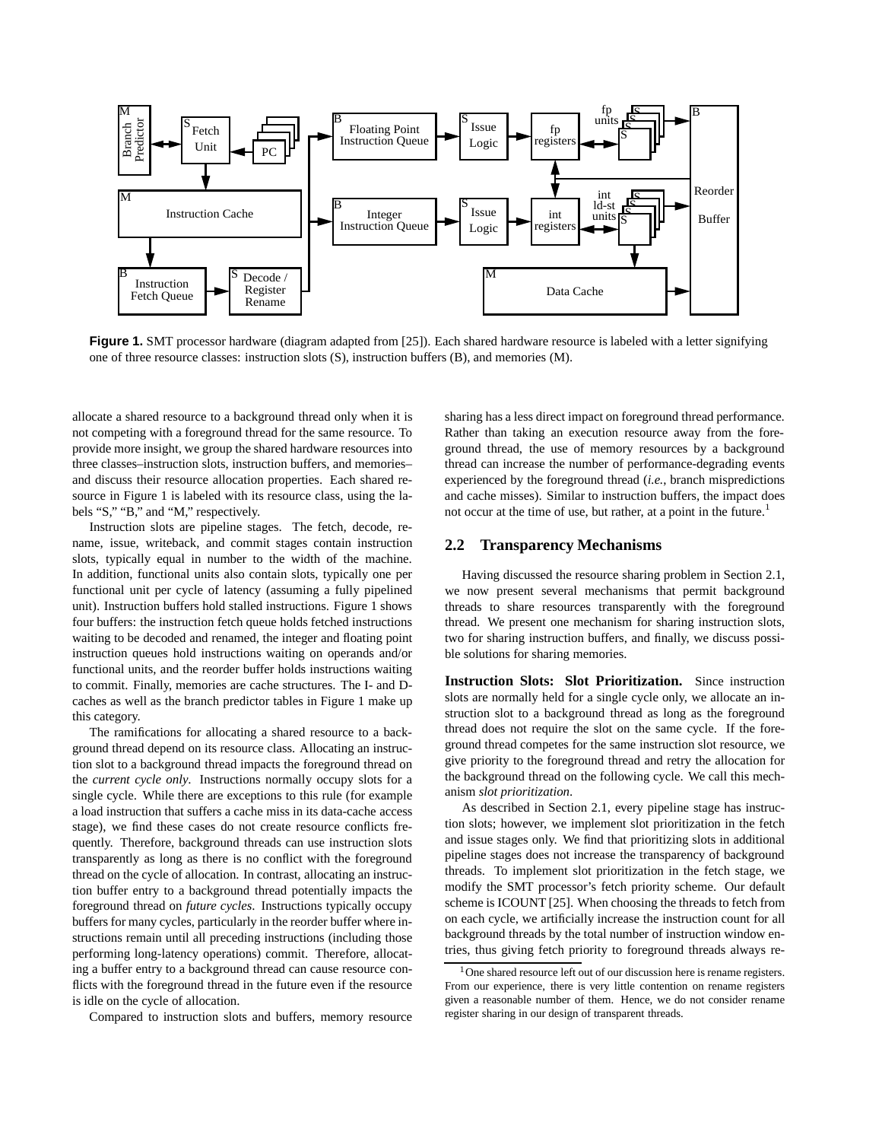

**Figure 1.** SMT processor hardware (diagram adapted from [25]). Each shared hardware resource is labeled with a letter signifying one of three resource classes: instruction slots (S), instruction buffers (B), and memories (M).

allocate a shared resource to a background thread only when it is not competing with a foreground thread for the same resource. To provide more insight, we group the shared hardware resources into three classes–instruction slots, instruction buffers, and memories– and discuss their resource allocation properties. Each shared resource in Figure 1 is labeled with its resource class, using the labels "S," "B," and "M," respectively.

Instruction slots are pipeline stages. The fetch, decode, rename, issue, writeback, and commit stages contain instruction slots, typically equal in number to the width of the machine. In addition, functional units also contain slots, typically one per functional unit per cycle of latency (assuming a fully pipelined unit). Instruction buffers hold stalled instructions. Figure 1 shows four buffers: the instruction fetch queue holds fetched instructions waiting to be decoded and renamed, the integer and floating point instruction queues hold instructions waiting on operands and/or functional units, and the reorder buffer holds instructions waiting to commit. Finally, memories are cache structures. The I- and Dcaches as well as the branch predictor tables in Figure 1 make up this category.

The ramifications for allocating a shared resource to a background thread depend on its resource class. Allocating an instruction slot to a background thread impacts the foreground thread on the *current cycle only*. Instructions normally occupy slots for a single cycle. While there are exceptions to this rule (for example a load instruction that suffers a cache miss in its data-cache access stage), we find these cases do not create resource conflicts frequently. Therefore, background threads can use instruction slots transparently as long as there is no conflict with the foreground thread on the cycle of allocation. In contrast, allocating an instruction buffer entry to a background thread potentially impacts the foreground thread on *future cycles*. Instructions typically occupy buffers for many cycles, particularly in the reorder buffer where instructions remain until all preceding instructions (including those performing long-latency operations) commit. Therefore, allocating a buffer entry to a background thread can cause resource conflicts with the foreground thread in the future even if the resource is idle on the cycle of allocation.

Compared to instruction slots and buffers, memory resource

sharing has a less direct impact on foreground thread performance. Rather than taking an execution resource away from the foreground thread, the use of memory resources by a background thread can increase the number of performance-degrading events experienced by the foreground thread (*i.e.*, branch mispredictions and cache misses). Similar to instruction buffers, the impact does not occur at the time of use, but rather, at a point in the future.<sup>1</sup>

#### **2.2 Transparency Mechanisms**

Having discussed the resource sharing problem in Section 2.1, we now present several mechanisms that permit background threads to share resources transparently with the foreground thread. We present one mechanism for sharing instruction slots, two for sharing instruction buffers, and finally, we discuss possible solutions for sharing memories.

**Instruction Slots: Slot Prioritization.** Since instruction slots are normally held for a single cycle only, we allocate an instruction slot to a background thread as long as the foreground thread does not require the slot on the same cycle. If the foreground thread competes for the same instruction slot resource, we give priority to the foreground thread and retry the allocation for the background thread on the following cycle. We call this mechanism *slot prioritization*.

As described in Section 2.1, every pipeline stage has instruction slots; however, we implement slot prioritization in the fetch and issue stages only. We find that prioritizing slots in additional pipeline stages does not increase the transparency of background threads. To implement slot prioritization in the fetch stage, we modify the SMT processor's fetch priority scheme. Our default scheme is ICOUNT [25]. When choosing the threads to fetch from on each cycle, we artificially increase the instruction count for all background threads by the total number of instruction window entries, thus giving fetch priority to foreground threads always re-

 $1$ One shared resource left out of our discussion here is rename registers. From our experience, there is very little contention on rename registers given a reasonable number of them. Hence, we do not consider rename register sharing in our design of transparent threads.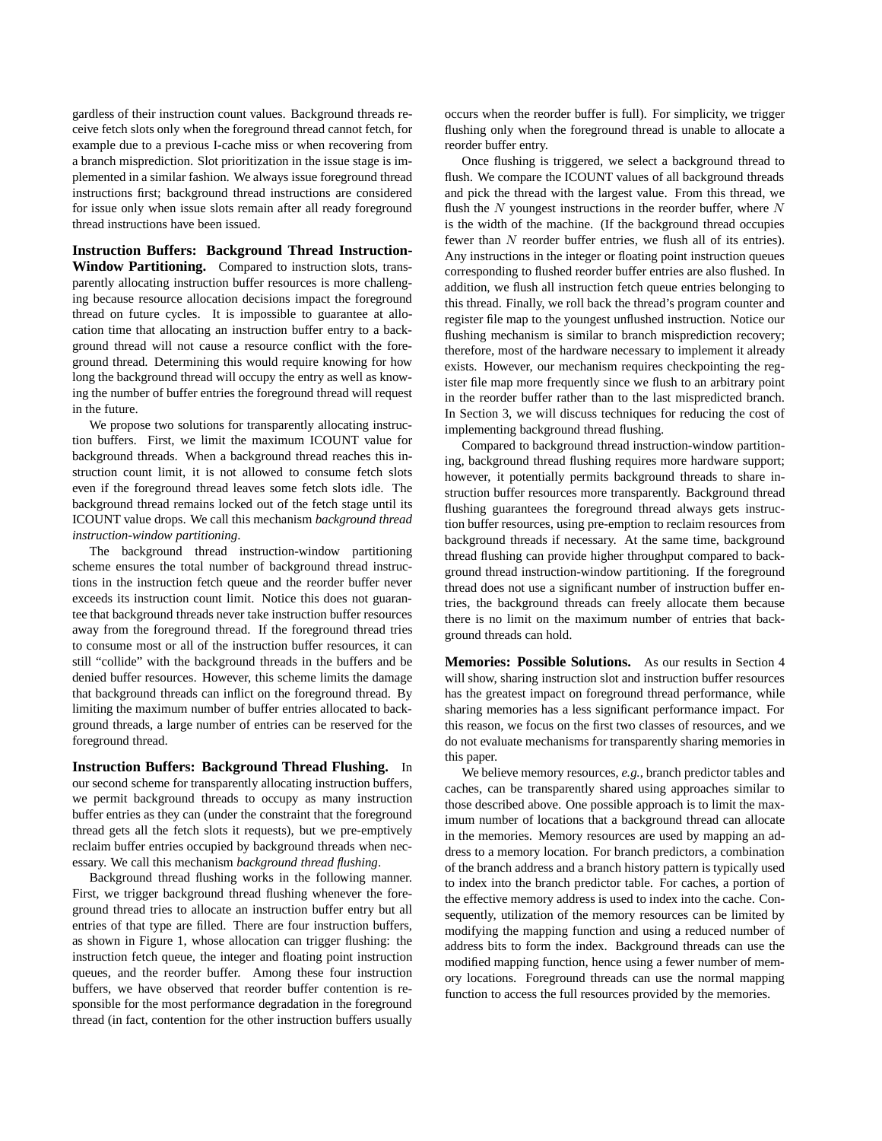gardless of their instruction count values. Background threads receive fetch slots only when the foreground thread cannot fetch, for example due to a previous I-cache miss or when recovering from a branch misprediction. Slot prioritization in the issue stage is implemented in a similar fashion. We always issue foreground thread instructions first; background thread instructions are considered for issue only when issue slots remain after all ready foreground thread instructions have been issued.

# **Instruction Buffers: Background Thread Instruction-**

**Window Partitioning.** Compared to instruction slots, transparently allocating instruction buffer resources is more challenging because resource allocation decisions impact the foreground thread on future cycles. It is impossible to guarantee at allocation time that allocating an instruction buffer entry to a background thread will not cause a resource conflict with the foreground thread. Determining this would require knowing for how long the background thread will occupy the entry as well as knowing the number of buffer entries the foreground thread will request in the future.

We propose two solutions for transparently allocating instruction buffers. First, we limit the maximum ICOUNT value for background threads. When a background thread reaches this instruction count limit, it is not allowed to consume fetch slots even if the foreground thread leaves some fetch slots idle. The background thread remains locked out of the fetch stage until its ICOUNT value drops. We call this mechanism *background thread instruction-window partitioning*.

The background thread instruction-window partitioning scheme ensures the total number of background thread instructions in the instruction fetch queue and the reorder buffer never exceeds its instruction count limit. Notice this does not guarantee that background threads never take instruction buffer resources away from the foreground thread. If the foreground thread tries to consume most or all of the instruction buffer resources, it can still "collide" with the background threads in the buffers and be denied buffer resources. However, this scheme limits the damage that background threads can inflict on the foreground thread. By limiting the maximum number of buffer entries allocated to background threads, a large number of entries can be reserved for the foreground thread.

**Instruction Buffers: Background Thread Flushing.** In our second scheme for transparently allocating instruction buffers, we permit background threads to occupy as many instruction buffer entries as they can (under the constraint that the foreground thread gets all the fetch slots it requests), but we pre-emptively reclaim buffer entries occupied by background threads when necessary. We call this mechanism *background thread flushing*.

Background thread flushing works in the following manner. First, we trigger background thread flushing whenever the foreground thread tries to allocate an instruction buffer entry but all entries of that type are filled. There are four instruction buffers, as shown in Figure 1, whose allocation can trigger flushing: the instruction fetch queue, the integer and floating point instruction queues, and the reorder buffer. Among these four instruction buffers, we have observed that reorder buffer contention is responsible for the most performance degradation in the foreground thread (in fact, contention for the other instruction buffers usually

occurs when the reorder buffer is full). For simplicity, we trigger flushing only when the foreground thread is unable to allocate a reorder buffer entry.

Once flushing is triggered, we select a background thread to flush. We compare the ICOUNT values of all background threads and pick the thread with the largest value. From this thread, we flush the  $N$  youngest instructions in the reorder buffer, where  $N$ is the width of the machine. (If the background thread occupies fewer than N reorder buffer entries, we flush all of its entries). Any instructions in the integer or floating point instruction queues corresponding to flushed reorder buffer entries are also flushed. In addition, we flush all instruction fetch queue entries belonging to this thread. Finally, we roll back the thread's program counter and register file map to the youngest unflushed instruction. Notice our flushing mechanism is similar to branch misprediction recovery; therefore, most of the hardware necessary to implement it already exists. However, our mechanism requires checkpointing the register file map more frequently since we flush to an arbitrary point in the reorder buffer rather than to the last mispredicted branch. In Section 3, we will discuss techniques for reducing the cost of implementing background thread flushing.

Compared to background thread instruction-window partitioning, background thread flushing requires more hardware support; however, it potentially permits background threads to share instruction buffer resources more transparently. Background thread flushing guarantees the foreground thread always gets instruction buffer resources, using pre-emption to reclaim resources from background threads if necessary. At the same time, background thread flushing can provide higher throughput compared to background thread instruction-window partitioning. If the foreground thread does not use a significant number of instruction buffer entries, the background threads can freely allocate them because there is no limit on the maximum number of entries that background threads can hold.

**Memories: Possible Solutions.** As our results in Section 4 will show, sharing instruction slot and instruction buffer resources has the greatest impact on foreground thread performance, while sharing memories has a less significant performance impact. For this reason, we focus on the first two classes of resources, and we do not evaluate mechanisms for transparently sharing memories in this paper.

We believe memory resources, *e.g.*, branch predictor tables and caches, can be transparently shared using approaches similar to those described above. One possible approach is to limit the maximum number of locations that a background thread can allocate in the memories. Memory resources are used by mapping an address to a memory location. For branch predictors, a combination of the branch address and a branch history pattern is typically used to index into the branch predictor table. For caches, a portion of the effective memory address is used to index into the cache. Consequently, utilization of the memory resources can be limited by modifying the mapping function and using a reduced number of address bits to form the index. Background threads can use the modified mapping function, hence using a fewer number of memory locations. Foreground threads can use the normal mapping function to access the full resources provided by the memories.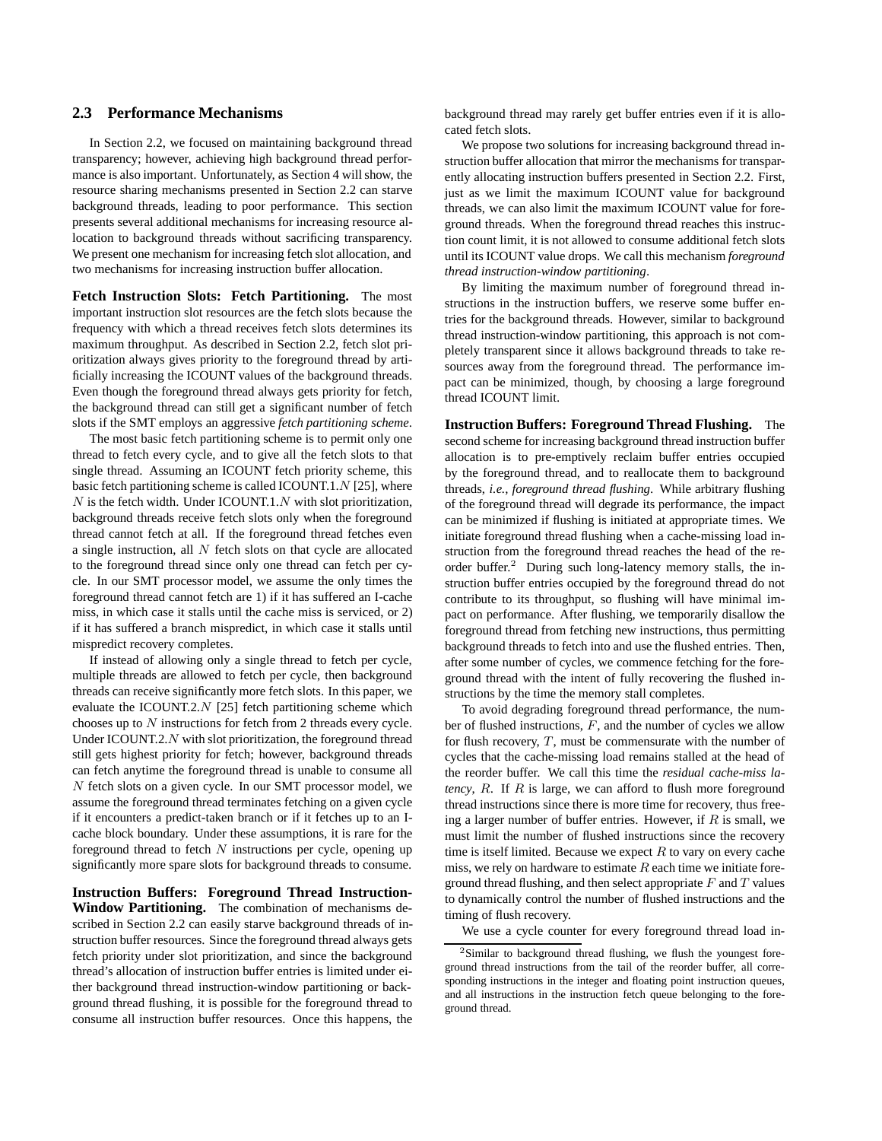# **2.3 Performance Mechanisms**

In Section 2.2, we focused on maintaining background thread transparency; however, achieving high background thread performance is also important. Unfortunately, as Section 4 will show, the resource sharing mechanisms presented in Section 2.2 can starve background threads, leading to poor performance. This section presents several additional mechanisms for increasing resource allocation to background threads without sacrificing transparency. We present one mechanism for increasing fetch slot allocation, and two mechanisms for increasing instruction buffer allocation.

**Fetch Instruction Slots: Fetch Partitioning.** The most important instruction slot resources are the fetch slots because the frequency with which a thread receives fetch slots determines its maximum throughput. As described in Section 2.2, fetch slot prioritization always gives priority to the foreground thread by artificially increasing the ICOUNT values of the background threads. Even though the foreground thread always gets priority for fetch, the background thread can still get a significant number of fetch slots if the SMT employs an aggressive *fetch partitioning scheme*.

The most basic fetch partitioning scheme is to permit only one thread to fetch every cycle, and to give all the fetch slots to that single thread. Assuming an ICOUNT fetch priority scheme, this basic fetch partitioning scheme is called ICOUNT.1. $N$  [25], where  $N$  is the fetch width. Under ICOUNT.1. $N$  with slot prioritization, background threads receive fetch slots only when the foreground thread cannot fetch at all. If the foreground thread fetches even a single instruction, all N fetch slots on that cycle are allocated to the foreground thread since only one thread can fetch per cycle. In our SMT processor model, we assume the only times the foreground thread cannot fetch are 1) if it has suffered an I-cache miss, in which case it stalls until the cache miss is serviced, or 2) if it has suffered a branch mispredict, in which case it stalls until mispredict recovery completes.

If instead of allowing only a single thread to fetch per cycle, multiple threads are allowed to fetch per cycle, then background threads can receive significantly more fetch slots. In this paper, we evaluate the ICOUNT.2.N [25] fetch partitioning scheme which chooses up to N instructions for fetch from 2 threads every cycle. Under ICOUNT.2.N with slot prioritization, the foreground thread still gets highest priority for fetch; however, background threads can fetch anytime the foreground thread is unable to consume all N fetch slots on a given cycle. In our SMT processor model, we assume the foreground thread terminates fetching on a given cycle if it encounters a predict-taken branch or if it fetches up to an Icache block boundary. Under these assumptions, it is rare for the foreground thread to fetch  $N$  instructions per cycle, opening up significantly more spare slots for background threads to consume.

**Instruction Buffers: Foreground Thread Instruction-Window Partitioning.** The combination of mechanisms described in Section 2.2 can easily starve background threads of instruction buffer resources. Since the foreground thread always gets fetch priority under slot prioritization, and since the background thread's allocation of instruction buffer entries is limited under either background thread instruction-window partitioning or background thread flushing, it is possible for the foreground thread to consume all instruction buffer resources. Once this happens, the background thread may rarely get buffer entries even if it is allocated fetch slots.

We propose two solutions for increasing background thread instruction buffer allocation that mirror the mechanisms for transparently allocating instruction buffers presented in Section 2.2. First, just as we limit the maximum ICOUNT value for background threads, we can also limit the maximum ICOUNT value for foreground threads. When the foreground thread reaches this instruction count limit, it is not allowed to consume additional fetch slots until its ICOUNT value drops. We call this mechanism *foreground thread instruction-window partitioning*.

By limiting the maximum number of foreground thread instructions in the instruction buffers, we reserve some buffer entries for the background threads. However, similar to background thread instruction-window partitioning, this approach is not completely transparent since it allows background threads to take resources away from the foreground thread. The performance impact can be minimized, though, by choosing a large foreground thread ICOUNT limit.

**Instruction Buffers: Foreground Thread Flushing.** The second scheme for increasing background thread instruction buffer allocation is to pre-emptively reclaim buffer entries occupied by the foreground thread, and to reallocate them to background threads, *i.e.*, *foreground thread flushing*. While arbitrary flushing of the foreground thread will degrade its performance, the impact can be minimized if flushing is initiated at appropriate times. We initiate foreground thread flushing when a cache-missing load instruction from the foreground thread reaches the head of the reorder buffer. $^{2}$  During such long-latency memory stalls, the instruction buffer entries occupied by the foreground thread do not contribute to its throughput, so flushing will have minimal impact on performance. After flushing, we temporarily disallow the foreground thread from fetching new instructions, thus permitting background threads to fetch into and use the flushed entries. Then, after some number of cycles, we commence fetching for the foreground thread with the intent of fully recovering the flushed instructions by the time the memory stall completes.

To avoid degrading foreground thread performance, the number of flushed instructions,  $F$ , and the number of cycles we allow for flush recovery,  $T$ , must be commensurate with the number of cycles that the cache-missing load remains stalled at the head of the reorder buffer. We call this time the *residual cache-miss latency*, R. If R is large, we can afford to flush more foreground thread instructions since there is more time for recovery, thus freeing a larger number of buffer entries. However, if  $R$  is small, we must limit the number of flushed instructions since the recovery time is itself limited. Because we expect  $R$  to vary on every cache miss, we rely on hardware to estimate  $R$  each time we initiate foreground thread flushing, and then select appropriate  $F$  and  $T$  values to dynamically control the number of flushed instructions and the timing of flush recovery.

We use a cycle counter for every foreground thread load in-

 $2$ Similar to background thread flushing, we flush the youngest foreground thread instructions from the tail of the reorder buffer, all corresponding instructions in the integer and floating point instruction queues, and all instructions in the instruction fetch queue belonging to the foreground thread.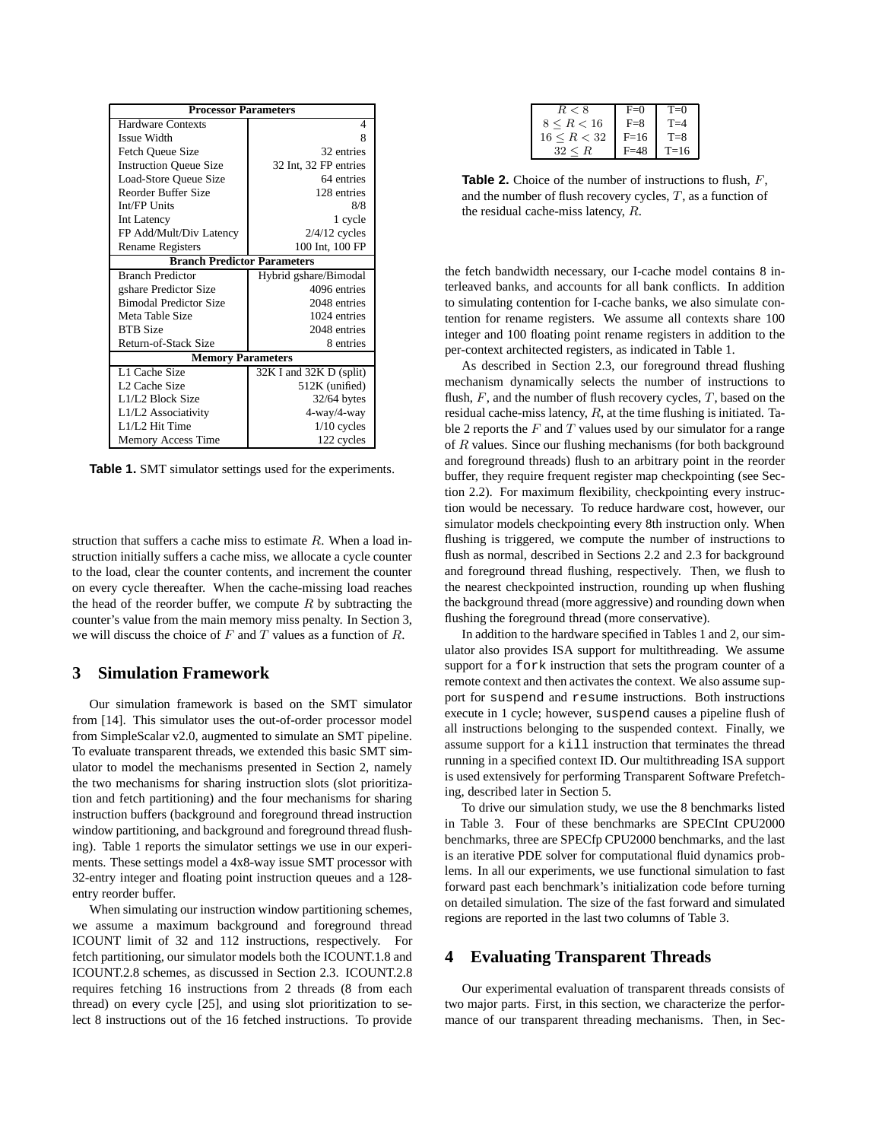| <b>Processor Parameters</b>        |                         |  |  |  |
|------------------------------------|-------------------------|--|--|--|
| <b>Hardware Contexts</b>           | 4                       |  |  |  |
| Issue Width                        | 8                       |  |  |  |
| Fetch Queue Size                   | 32 entries              |  |  |  |
| <b>Instruction Queue Size</b>      | 32 Int, 32 FP entries   |  |  |  |
| Load-Store Queue Size              | 64 entries              |  |  |  |
| Reorder Buffer Size                | 128 entries             |  |  |  |
| Int/FP Units                       | 8/8                     |  |  |  |
| Int Latency                        | 1 cycle                 |  |  |  |
| FP Add/Mult/Div Latency            | $2/4/12$ cycles         |  |  |  |
| <b>Rename Registers</b>            | 100 Int, 100 FP         |  |  |  |
| <b>Branch Predictor Parameters</b> |                         |  |  |  |
| <b>Branch Predictor</b>            | Hybrid gshare/Bimodal   |  |  |  |
| gshare Predictor Size              | 4096 entries            |  |  |  |
| <b>Bimodal Predictor Size</b>      | 2048 entries            |  |  |  |
| Meta Table Size<br>1024 entries    |                         |  |  |  |
| <b>BTB</b> Size<br>2048 entries    |                         |  |  |  |
| Return-of-Stack Size               | 8 entries               |  |  |  |
| <b>Memory Parameters</b>           |                         |  |  |  |
| L1 Cache Size                      | 32K I and 32K D (split) |  |  |  |
| L <sub>2</sub> Cache Size          | 512K (unified)          |  |  |  |
| L1/L2 Block Size                   | $32/64$ bytes           |  |  |  |
| L1/L2 Associativity                | $4$ -way/ $4$ -way      |  |  |  |
| L1/L2 Hit Time                     | $1/10$ cycles           |  |  |  |
| <b>Memory Access Time</b>          | 122 cycles              |  |  |  |

**Table 1.** SMT simulator settings used for the experiments.

struction that suffers a cache miss to estimate R. When a load instruction initially suffers a cache miss, we allocate a cycle counter to the load, clear the counter contents, and increment the counter on every cycle thereafter. When the cache-missing load reaches the head of the reorder buffer, we compute  $R$  by subtracting the counter's value from the main memory miss penalty. In Section 3, we will discuss the choice of  $F$  and  $T$  values as a function of  $R$ .

# **3 Simulation Framework**

Our simulation framework is based on the SMT simulator from [14]. This simulator uses the out-of-order processor model from SimpleScalar v2.0, augmented to simulate an SMT pipeline. To evaluate transparent threads, we extended this basic SMT simulator to model the mechanisms presented in Section 2, namely the two mechanisms for sharing instruction slots (slot prioritization and fetch partitioning) and the four mechanisms for sharing instruction buffers (background and foreground thread instruction window partitioning, and background and foreground thread flushing). Table 1 reports the simulator settings we use in our experiments. These settings model a 4x8-way issue SMT processor with 32-entry integer and floating point instruction queues and a 128 entry reorder buffer.

When simulating our instruction window partitioning schemes, we assume a maximum background and foreground thread ICOUNT limit of 32 and 112 instructions, respectively. For fetch partitioning, our simulator models both the ICOUNT.1.8 and ICOUNT.2.8 schemes, as discussed in Section 2.3. ICOUNT.2.8 requires fetching 16 instructions from 2 threads (8 from each thread) on every cycle [25], and using slot prioritization to select 8 instructions out of the 16 fetched instructions. To provide

| R < 8            | $F=0$    | $T=0$  |
|------------------|----------|--------|
| $8 \le R \le 16$ | $F=8$    | $T=4$  |
| $16 \le R < 32$  | $F=16$   | $T=8$  |
| 32 < R           | $F = 48$ | $T=16$ |

**Table 2.** Choice of the number of instructions to flush, F, and the number of flush recovery cycles,  $T$ , as a function of the residual cache-miss latency, R.

the fetch bandwidth necessary, our I-cache model contains 8 interleaved banks, and accounts for all bank conflicts. In addition to simulating contention for I-cache banks, we also simulate contention for rename registers. We assume all contexts share 100 integer and 100 floating point rename registers in addition to the per-context architected registers, as indicated in Table 1.

As described in Section 2.3, our foreground thread flushing mechanism dynamically selects the number of instructions to flush,  $F$ , and the number of flush recovery cycles,  $T$ , based on the residual cache-miss latency,  $R$ , at the time flushing is initiated. Table 2 reports the  $F$  and  $T$  values used by our simulator for a range of  $R$  values. Since our flushing mechanisms (for both background and foreground threads) flush to an arbitrary point in the reorder buffer, they require frequent register map checkpointing (see Section 2.2). For maximum flexibility, checkpointing every instruction would be necessary. To reduce hardware cost, however, our simulator models checkpointing every 8th instruction only. When flushing is triggered, we compute the number of instructions to flush as normal, described in Sections 2.2 and 2.3 for background and foreground thread flushing, respectively. Then, we flush to the nearest checkpointed instruction, rounding up when flushing the background thread (more aggressive) and rounding down when flushing the foreground thread (more conservative).

In addition to the hardware specified in Tables 1 and 2, our simulator also provides ISA support for multithreading. We assume support for a fork instruction that sets the program counter of a remote context and then activates the context. We also assume support for suspend and resume instructions. Both instructions execute in 1 cycle; however, suspend causes a pipeline flush of all instructions belonging to the suspended context. Finally, we assume support for a kill instruction that terminates the thread running in a specified context ID. Our multithreading ISA support is used extensively for performing Transparent Software Prefetching, described later in Section 5.

To drive our simulation study, we use the 8 benchmarks listed in Table 3. Four of these benchmarks are SPECInt CPU2000 benchmarks, three are SPECfp CPU2000 benchmarks, and the last is an iterative PDE solver for computational fluid dynamics problems. In all our experiments, we use functional simulation to fast forward past each benchmark's initialization code before turning on detailed simulation. The size of the fast forward and simulated regions are reported in the last two columns of Table 3.

# **4 Evaluating Transparent Threads**

Our experimental evaluation of transparent threads consists of two major parts. First, in this section, we characterize the performance of our transparent threading mechanisms. Then, in Sec-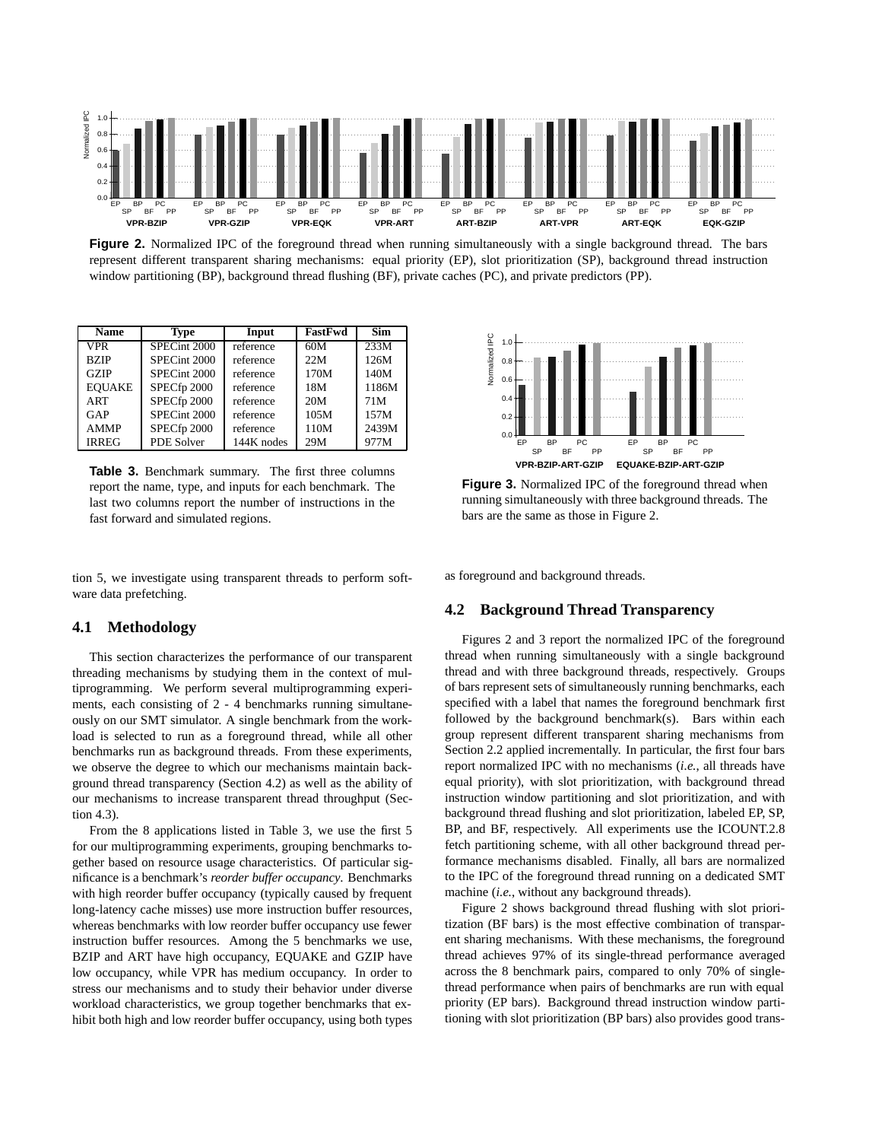

**Figure 2.** Normalized IPC of the foreground thread when running simultaneously with a single background thread. The bars represent different transparent sharing mechanisms: equal priority (EP), slot prioritization (SP), background thread instruction window partitioning (BP), background thread flushing (BF), private caches (PC), and private predictors (PP).

| <b>Name</b>   | Type         | Input      | FastFwd | Sim   |
|---------------|--------------|------------|---------|-------|
| <b>VPR</b>    | SPECint 2000 | reference  | 60M     | 233M  |
| <b>BZIP</b>   | SPECint 2000 | reference  | 22M     | 126M  |
| <b>GZIP</b>   | SPECint 2000 | reference  | 170M    | 140M  |
| <b>EOUAKE</b> | SPECfp 2000  | reference  | 18M     | 1186M |
| ART           | SPECfp 2000  | reference  | 20M     | 71M   |
| GAP           | SPECint 2000 | reference  | 105M    | 157M  |
| <b>AMMP</b>   | SPECfp 2000  | reference  | 110M    | 2439M |
| <b>IRREG</b>  | PDE Solver   | 144K nodes | 29M     | 977M  |

**Table 3.** Benchmark summary. The first three columns report the name, type, and inputs for each benchmark. The last two columns report the number of instructions in the fast forward and simulated regions.

tion 5, we investigate using transparent threads to perform software data prefetching.

#### **4.1 Methodology**

This section characterizes the performance of our transparent threading mechanisms by studying them in the context of multiprogramming. We perform several multiprogramming experiments, each consisting of 2 - 4 benchmarks running simultaneously on our SMT simulator. A single benchmark from the workload is selected to run as a foreground thread, while all other benchmarks run as background threads. From these experiments, we observe the degree to which our mechanisms maintain background thread transparency (Section 4.2) as well as the ability of our mechanisms to increase transparent thread throughput (Section 4.3).

From the 8 applications listed in Table 3, we use the first 5 for our multiprogramming experiments, grouping benchmarks together based on resource usage characteristics. Of particular significance is a benchmark's *reorder buffer occupancy*. Benchmarks with high reorder buffer occupancy (typically caused by frequent long-latency cache misses) use more instruction buffer resources, whereas benchmarks with low reorder buffer occupancy use fewer instruction buffer resources. Among the 5 benchmarks we use, BZIP and ART have high occupancy, EQUAKE and GZIP have low occupancy, while VPR has medium occupancy. In order to stress our mechanisms and to study their behavior under diverse workload characteristics, we group together benchmarks that exhibit both high and low reorder buffer occupancy, using both types



**Figure 3.** Normalized IPC of the foreground thread when running simultaneously with three background threads. The bars are the same as those in Figure 2.

as foreground and background threads.

# **4.2 Background Thread Transparency**

Figures 2 and 3 report the normalized IPC of the foreground thread when running simultaneously with a single background thread and with three background threads, respectively. Groups of bars represent sets of simultaneously running benchmarks, each specified with a label that names the foreground benchmark first followed by the background benchmark(s). Bars within each group represent different transparent sharing mechanisms from Section 2.2 applied incrementally. In particular, the first four bars report normalized IPC with no mechanisms (*i.e.*, all threads have equal priority), with slot prioritization, with background thread instruction window partitioning and slot prioritization, and with background thread flushing and slot prioritization, labeled EP, SP, BP, and BF, respectively. All experiments use the ICOUNT.2.8 fetch partitioning scheme, with all other background thread performance mechanisms disabled. Finally, all bars are normalized to the IPC of the foreground thread running on a dedicated SMT machine (*i.e.*, without any background threads).

Figure 2 shows background thread flushing with slot prioritization (BF bars) is the most effective combination of transparent sharing mechanisms. With these mechanisms, the foreground thread achieves 97% of its single-thread performance averaged across the 8 benchmark pairs, compared to only 70% of singlethread performance when pairs of benchmarks are run with equal priority (EP bars). Background thread instruction window partitioning with slot prioritization (BP bars) also provides good trans-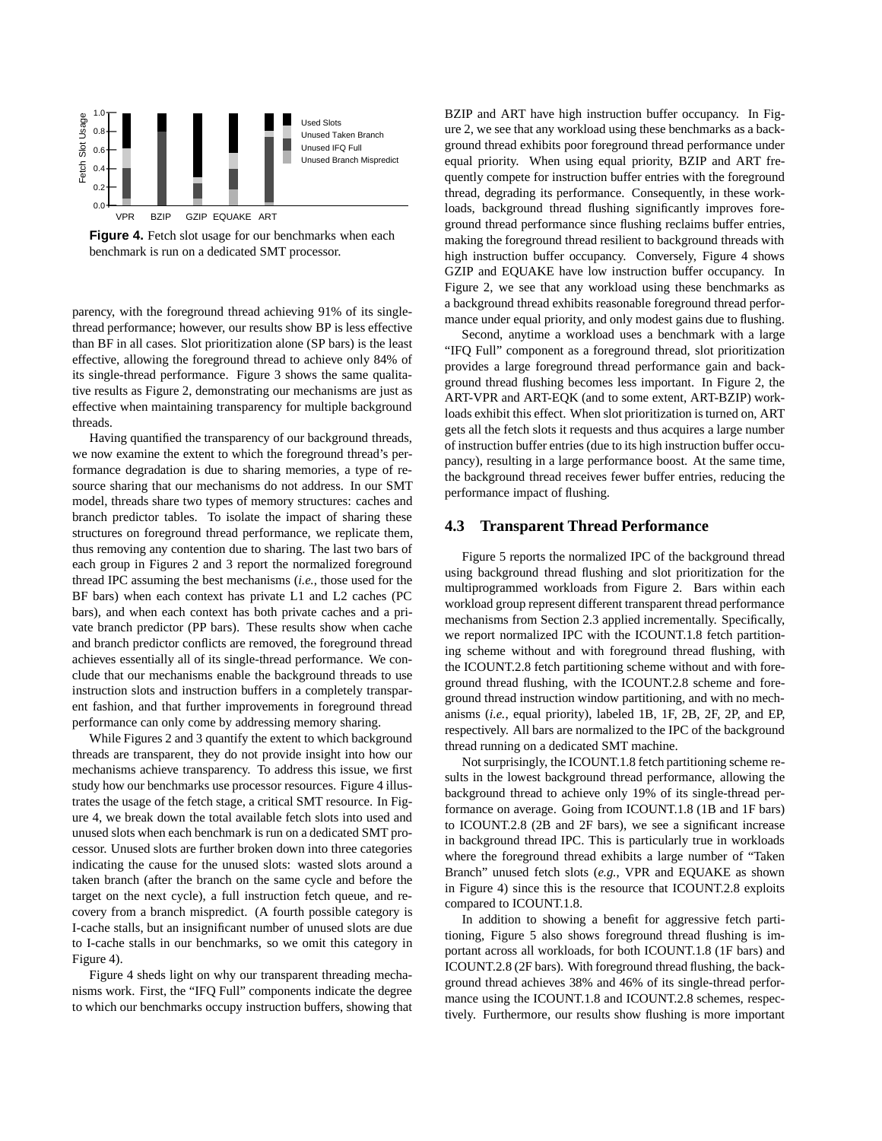

**Figure 4.** Fetch slot usage for our benchmarks when each benchmark is run on a dedicated SMT processor.

parency, with the foreground thread achieving 91% of its singlethread performance; however, our results show BP is less effective than BF in all cases. Slot prioritization alone (SP bars) is the least effective, allowing the foreground thread to achieve only 84% of its single-thread performance. Figure 3 shows the same qualitative results as Figure 2, demonstrating our mechanisms are just as effective when maintaining transparency for multiple background threads.

Having quantified the transparency of our background threads, we now examine the extent to which the foreground thread's performance degradation is due to sharing memories, a type of resource sharing that our mechanisms do not address. In our SMT model, threads share two types of memory structures: caches and branch predictor tables. To isolate the impact of sharing these structures on foreground thread performance, we replicate them, thus removing any contention due to sharing. The last two bars of each group in Figures 2 and 3 report the normalized foreground thread IPC assuming the best mechanisms (*i.e.*, those used for the BF bars) when each context has private L1 and L2 caches (PC bars), and when each context has both private caches and a private branch predictor (PP bars). These results show when cache and branch predictor conflicts are removed, the foreground thread achieves essentially all of its single-thread performance. We conclude that our mechanisms enable the background threads to use instruction slots and instruction buffers in a completely transparent fashion, and that further improvements in foreground thread performance can only come by addressing memory sharing.

While Figures 2 and 3 quantify the extent to which background threads are transparent, they do not provide insight into how our mechanisms achieve transparency. To address this issue, we first study how our benchmarks use processor resources. Figure 4 illustrates the usage of the fetch stage, a critical SMT resource. In Figure 4, we break down the total available fetch slots into used and unused slots when each benchmark is run on a dedicated SMT processor. Unused slots are further broken down into three categories indicating the cause for the unused slots: wasted slots around a taken branch (after the branch on the same cycle and before the target on the next cycle), a full instruction fetch queue, and recovery from a branch mispredict. (A fourth possible category is I-cache stalls, but an insignificant number of unused slots are due to I-cache stalls in our benchmarks, so we omit this category in Figure 4).

Figure 4 sheds light on why our transparent threading mechanisms work. First, the "IFQ Full" components indicate the degree to which our benchmarks occupy instruction buffers, showing that BZIP and ART have high instruction buffer occupancy. In Figure 2, we see that any workload using these benchmarks as a background thread exhibits poor foreground thread performance under equal priority. When using equal priority, BZIP and ART frequently compete for instruction buffer entries with the foreground thread, degrading its performance. Consequently, in these workloads, background thread flushing significantly improves foreground thread performance since flushing reclaims buffer entries, making the foreground thread resilient to background threads with high instruction buffer occupancy. Conversely, Figure 4 shows GZIP and EQUAKE have low instruction buffer occupancy. In Figure 2, we see that any workload using these benchmarks as a background thread exhibits reasonable foreground thread performance under equal priority, and only modest gains due to flushing.

Second, anytime a workload uses a benchmark with a large "IFQ Full" component as a foreground thread, slot prioritization provides a large foreground thread performance gain and background thread flushing becomes less important. In Figure 2, the ART-VPR and ART-EQK (and to some extent, ART-BZIP) workloads exhibit this effect. When slot prioritization is turned on, ART gets all the fetch slots it requests and thus acquires a large number of instruction buffer entries (due to its high instruction buffer occupancy), resulting in a large performance boost. At the same time, the background thread receives fewer buffer entries, reducing the performance impact of flushing.

#### **4.3 Transparent Thread Performance**

Figure 5 reports the normalized IPC of the background thread using background thread flushing and slot prioritization for the multiprogrammed workloads from Figure 2. Bars within each workload group represent different transparent thread performance mechanisms from Section 2.3 applied incrementally. Specifically, we report normalized IPC with the ICOUNT.1.8 fetch partitioning scheme without and with foreground thread flushing, with the ICOUNT.2.8 fetch partitioning scheme without and with foreground thread flushing, with the ICOUNT.2.8 scheme and foreground thread instruction window partitioning, and with no mechanisms (*i.e.*, equal priority), labeled 1B, 1F, 2B, 2F, 2P, and EP, respectively. All bars are normalized to the IPC of the background thread running on a dedicated SMT machine.

Not surprisingly, the ICOUNT.1.8 fetch partitioning scheme results in the lowest background thread performance, allowing the background thread to achieve only 19% of its single-thread performance on average. Going from ICOUNT.1.8 (1B and 1F bars) to ICOUNT.2.8 (2B and 2F bars), we see a significant increase in background thread IPC. This is particularly true in workloads where the foreground thread exhibits a large number of "Taken Branch" unused fetch slots (*e.g.*, VPR and EQUAKE as shown in Figure 4) since this is the resource that ICOUNT.2.8 exploits compared to ICOUNT.1.8.

In addition to showing a benefit for aggressive fetch partitioning, Figure 5 also shows foreground thread flushing is important across all workloads, for both ICOUNT.1.8 (1F bars) and ICOUNT.2.8 (2F bars). With foreground thread flushing, the background thread achieves 38% and 46% of its single-thread performance using the ICOUNT.1.8 and ICOUNT.2.8 schemes, respectively. Furthermore, our results show flushing is more important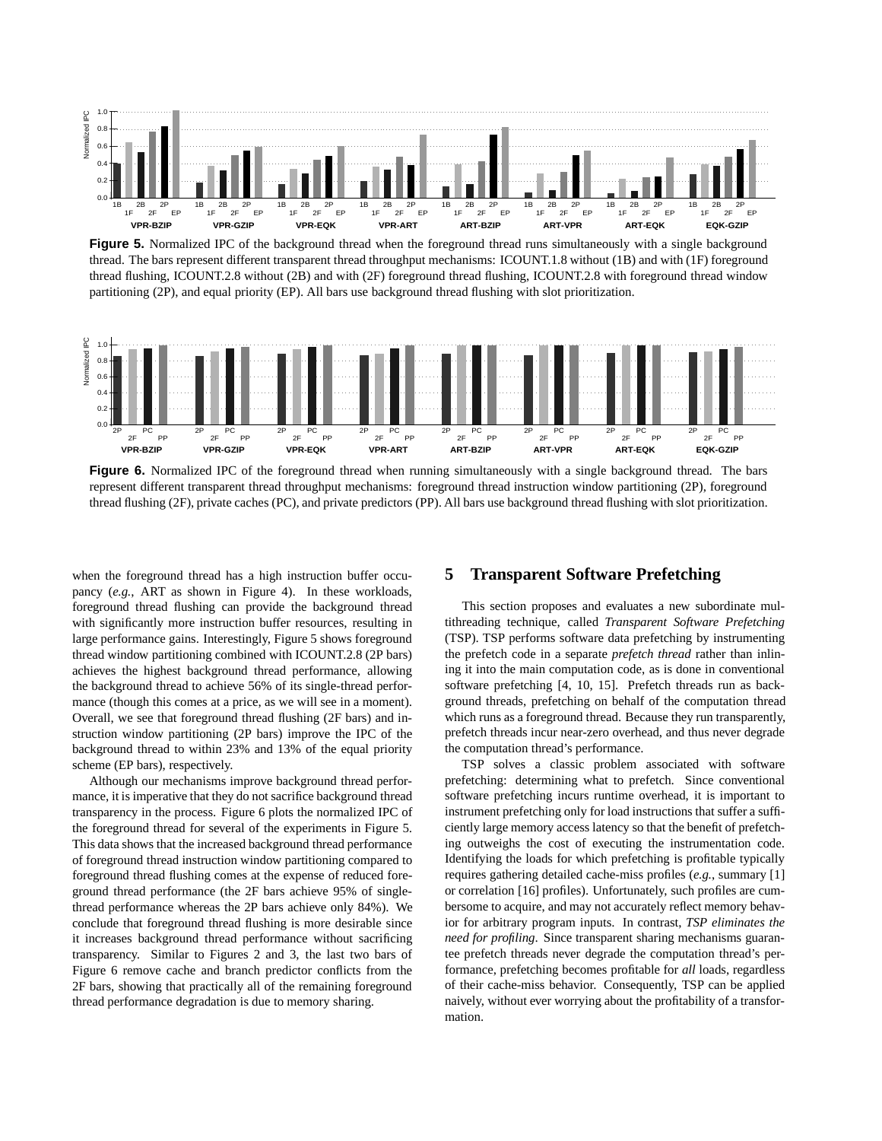

Figure 5. Normalized IPC of the background thread when the foreground thread runs simultaneously with a single background thread. The bars represent different transparent thread throughput mechanisms: ICOUNT.1.8 without (1B) and with (1F) foreground thread flushing, ICOUNT.2.8 without (2B) and with (2F) foreground thread flushing, ICOUNT.2.8 with foreground thread window partitioning (2P), and equal priority (EP). All bars use background thread flushing with slot prioritization.



**Figure 6.** Normalized IPC of the foreground thread when running simultaneously with a single background thread. The bars represent different transparent thread throughput mechanisms: foreground thread instruction window partitioning (2P), foreground thread flushing (2F), private caches (PC), and private predictors (PP). All bars use background thread flushing with slot prioritization.

when the foreground thread has a high instruction buffer occupancy (*e.g.*, ART as shown in Figure 4). In these workloads, foreground thread flushing can provide the background thread with significantly more instruction buffer resources, resulting in large performance gains. Interestingly, Figure 5 shows foreground thread window partitioning combined with ICOUNT.2.8 (2P bars) achieves the highest background thread performance, allowing the background thread to achieve 56% of its single-thread performance (though this comes at a price, as we will see in a moment). Overall, we see that foreground thread flushing (2F bars) and instruction window partitioning (2P bars) improve the IPC of the background thread to within 23% and 13% of the equal priority scheme (EP bars), respectively.

Although our mechanisms improve background thread performance, it is imperative that they do not sacrifice background thread transparency in the process. Figure 6 plots the normalized IPC of the foreground thread for several of the experiments in Figure 5. This data shows that the increased background thread performance of foreground thread instruction window partitioning compared to foreground thread flushing comes at the expense of reduced foreground thread performance (the 2F bars achieve 95% of singlethread performance whereas the 2P bars achieve only 84%). We conclude that foreground thread flushing is more desirable since it increases background thread performance without sacrificing transparency. Similar to Figures 2 and 3, the last two bars of Figure 6 remove cache and branch predictor conflicts from the 2F bars, showing that practically all of the remaining foreground thread performance degradation is due to memory sharing.

# **5 Transparent Software Prefetching**

This section proposes and evaluates a new subordinate multithreading technique, called *Transparent Software Prefetching* (TSP). TSP performs software data prefetching by instrumenting the prefetch code in a separate *prefetch thread* rather than inlining it into the main computation code, as is done in conventional software prefetching [4, 10, 15]. Prefetch threads run as background threads, prefetching on behalf of the computation thread which runs as a foreground thread. Because they run transparently, prefetch threads incur near-zero overhead, and thus never degrade the computation thread's performance.

TSP solves a classic problem associated with software prefetching: determining what to prefetch. Since conventional software prefetching incurs runtime overhead, it is important to instrument prefetching only for load instructions that suffer a sufficiently large memory access latency so that the benefit of prefetching outweighs the cost of executing the instrumentation code. Identifying the loads for which prefetching is profitable typically requires gathering detailed cache-miss profiles (*e.g.*, summary [1] or correlation [16] profiles). Unfortunately, such profiles are cumbersome to acquire, and may not accurately reflect memory behavior for arbitrary program inputs. In contrast, *TSP eliminates the need for profiling*. Since transparent sharing mechanisms guarantee prefetch threads never degrade the computation thread's performance, prefetching becomes profitable for *all* loads, regardless of their cache-miss behavior. Consequently, TSP can be applied naively, without ever worrying about the profitability of a transformation.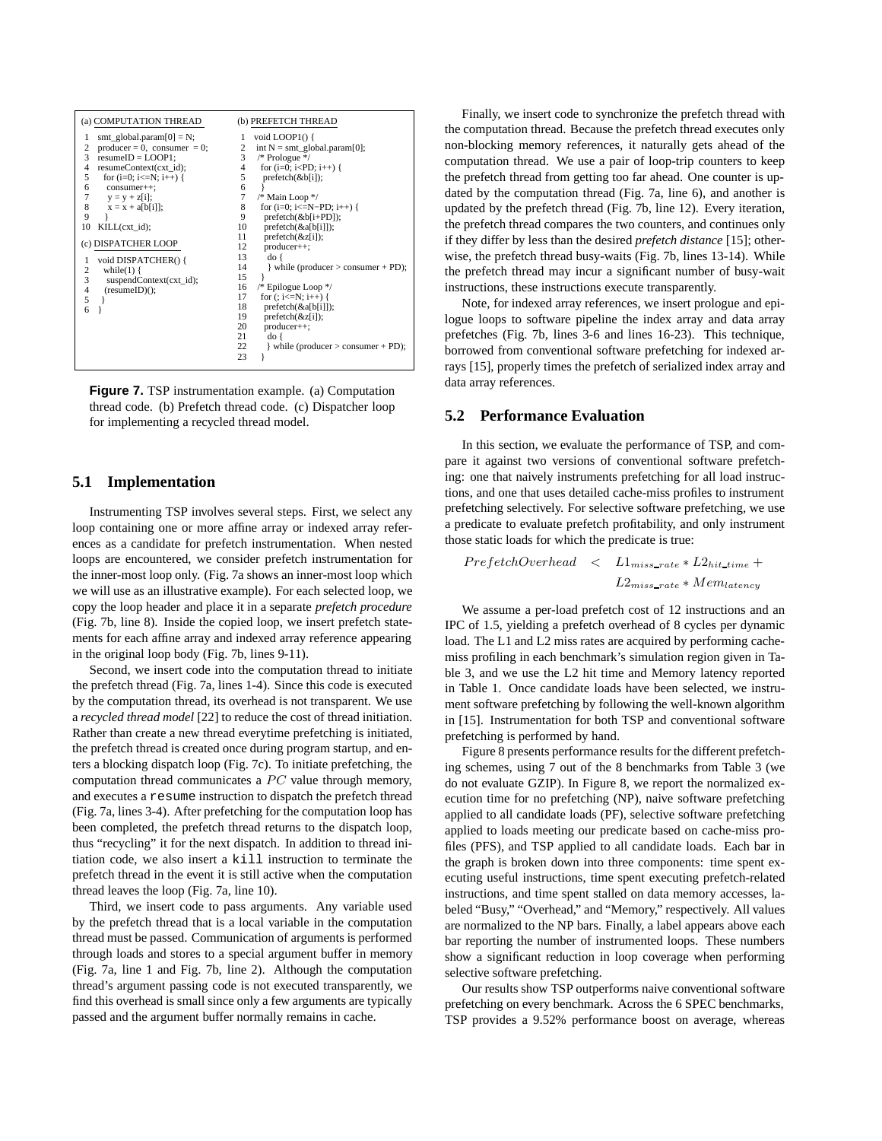| (a) COMPUTATION THREAD                                                                                                                                                                                                                                                                                                                          | (b) PREFETCH THREAD                                                                                                                                                                                                                                                                                         |
|-------------------------------------------------------------------------------------------------------------------------------------------------------------------------------------------------------------------------------------------------------------------------------------------------------------------------------------------------|-------------------------------------------------------------------------------------------------------------------------------------------------------------------------------------------------------------------------------------------------------------------------------------------------------------|
| smt_global.param $[0] = N$ ;<br>1<br>1.<br>producer = 0, consumer = 0;<br>$\overline{c}$<br>3<br>$resumeID = LOOP1;$<br>resumeContext(cxt_id);<br>$\overline{4}$<br>4<br>5<br>5<br>for $(i=0; i<=N; i++)$ {<br>6<br>6<br>consumer++;<br>7<br>$\overline{7}$<br>$y = y + z[i];$<br>8<br>8<br>$x = x + a[b[i]];$<br>9<br>9<br>10<br>KILL(cxt id); | void $LOOP1()$ {<br>int $N = \text{smt\_global}$ . param[0];<br>$\mathbf{2}$<br>3<br>$/*$ Prologue $*/$<br>for $(i=0; i < PD; i++)$ {<br>$prefetch(\&b[i]);$<br>/* Main Loop $*/$<br>for $(i=0; i<=N-PD; i++)$ {<br>prefetch(&b[i+PD]);<br>prefetch(&a[b[i]]);<br>10<br>$prefetch(\&z[i])$ ;<br>11          |
| (c) DISPATCHER LOOP<br>void DISPATCHER() {<br>1<br>2<br>while $(1)$ {<br>3<br>suspendContext(cxt id);<br>$\overline{4}$<br>$(resumeID()$ ;<br>5<br>6                                                                                                                                                                                            | producer++;<br>12<br>$do \{$<br>13<br>while (producer $>$ consumer + PD);<br>14<br>15<br>/* Epilogue Loop $*/$<br>16<br>for $(:i<=N; i++)$ {<br>17<br>$prefetch(\&a[b[i]]);$<br>18<br>$prefetch(\&z[i])$ ;<br>19<br>$product++$ ;<br>20<br>21<br>$do \{$<br>22<br>while (producer $>$ consumer + PD);<br>23 |

**Figure 7.** TSP instrumentation example. (a) Computation thread code. (b) Prefetch thread code. (c) Dispatcher loop for implementing a recycled thread model.

#### **5.1 Implementation**

Instrumenting TSP involves several steps. First, we select any loop containing one or more affine array or indexed array references as a candidate for prefetch instrumentation. When nested loops are encountered, we consider prefetch instrumentation for the inner-most loop only. (Fig. 7a shows an inner-most loop which we will use as an illustrative example). For each selected loop, we copy the loop header and place it in a separate *prefetch procedure* (Fig. 7b, line 8). Inside the copied loop, we insert prefetch statements for each affine array and indexed array reference appearing in the original loop body (Fig. 7b, lines 9-11).

Second, we insert code into the computation thread to initiate the prefetch thread (Fig. 7a, lines 1-4). Since this code is executed by the computation thread, its overhead is not transparent. We use a *recycled thread model* [22] to reduce the cost of thread initiation. Rather than create a new thread everytime prefetching is initiated, the prefetch thread is created once during program startup, and enters a blocking dispatch loop (Fig. 7c). To initiate prefetching, the computation thread communicates a  $\overline{PC}$  value through memory, and executes a resume instruction to dispatch the prefetch thread (Fig. 7a, lines 3-4). After prefetching for the computation loop has been completed, the prefetch thread returns to the dispatch loop, thus "recycling" it for the next dispatch. In addition to thread initiation code, we also insert a kill instruction to terminate the prefetch thread in the event it is still active when the computation thread leaves the loop (Fig. 7a, line 10).

Third, we insert code to pass arguments. Any variable used by the prefetch thread that is a local variable in the computation thread must be passed. Communication of arguments is performed through loads and stores to a special argument buffer in memory (Fig. 7a, line 1 and Fig. 7b, line 2). Although the computation thread's argument passing code is not executed transparently, we find this overhead is small since only a few arguments are typically passed and the argument buffer normally remains in cache.

Finally, we insert code to synchronize the prefetch thread with the computation thread. Because the prefetch thread executes only non-blocking memory references, it naturally gets ahead of the computation thread. We use a pair of loop-trip counters to keep the prefetch thread from getting too far ahead. One counter is updated by the computation thread (Fig. 7a, line 6), and another is updated by the prefetch thread (Fig. 7b, line 12). Every iteration, the prefetch thread compares the two counters, and continues only if they differ by less than the desired *prefetch distance* [15]; otherwise, the prefetch thread busy-waits (Fig. 7b, lines 13-14). While the prefetch thread may incur a significant number of busy-wait instructions, these instructions execute transparently.

Note, for indexed array references, we insert prologue and epilogue loops to software pipeline the index array and data array prefetches (Fig. 7b, lines 3-6 and lines 16-23). This technique, borrowed from conventional software prefetching for indexed arrays [15], properly times the prefetch of serialized index array and data array references.

#### **5.2 Performance Evaluation**

In this section, we evaluate the performance of TSP, and compare it against two versions of conventional software prefetching: one that naively instruments prefetching for all load instructions, and one that uses detailed cache-miss profiles to instrument prefetching selectively. For selective software prefetching, we use a predicate to evaluate prefetch profitability, and only instrument those static loads for which the predicate is true:

$$
PrefetchOverhead < L1_{miss\_rate} * L2_{hit\_time} + L2_{mis\_rate} * Mem_{latency}
$$

We assume a per-load prefetch cost of 12 instructions and an IPC of 1.5, yielding a prefetch overhead of 8 cycles per dynamic load. The L1 and L2 miss rates are acquired by performing cachemiss profiling in each benchmark's simulation region given in Table 3, and we use the L2 hit time and Memory latency reported in Table 1. Once candidate loads have been selected, we instrument software prefetching by following the well-known algorithm in [15]. Instrumentation for both TSP and conventional software prefetching is performed by hand.

Figure 8 presents performance results for the different prefetching schemes, using 7 out of the 8 benchmarks from Table 3 (we do not evaluate GZIP). In Figure 8, we report the normalized execution time for no prefetching (NP), naive software prefetching applied to all candidate loads (PF), selective software prefetching applied to loads meeting our predicate based on cache-miss profiles (PFS), and TSP applied to all candidate loads. Each bar in the graph is broken down into three components: time spent executing useful instructions, time spent executing prefetch-related instructions, and time spent stalled on data memory accesses, labeled "Busy," "Overhead," and "Memory," respectively. All values are normalized to the NP bars. Finally, a label appears above each bar reporting the number of instrumented loops. These numbers show a significant reduction in loop coverage when performing selective software prefetching.

Our results show TSP outperforms naive conventional software prefetching on every benchmark. Across the 6 SPEC benchmarks, TSP provides a 9.52% performance boost on average, whereas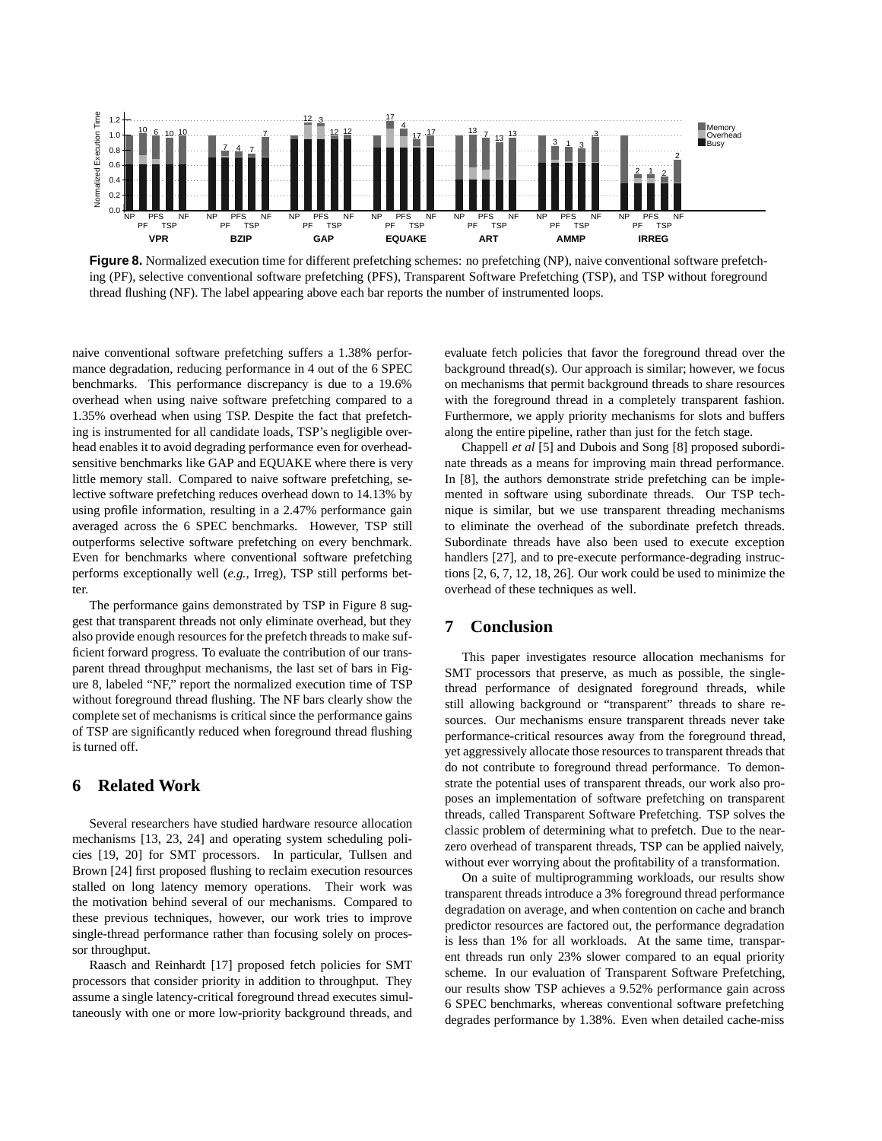

**Figure 8.** Normalized execution time for different prefetching schemes: no prefetching (NP), naive conventional software prefetching (PF), selective conventional software prefetching (PFS), Transparent Software Prefetching (TSP), and TSP without foreground thread flushing (NF). The label appearing above each bar reports the number of instrumented loops.

naive conventional software prefetching suffers a 1.38% performance degradation, reducing performance in 4 out of the 6 SPEC benchmarks. This performance discrepancy is due to a 19.6% overhead when using naive software prefetching compared to a 1.35% overhead when using TSP. Despite the fact that prefetching is instrumented for all candidate loads, TSP's negligible overhead enables it to avoid degrading performance even for overheadsensitive benchmarks like GAP and EQUAKE where there is very little memory stall. Compared to naive software prefetching, selective software prefetching reduces overhead down to 14.13% by using profile information, resulting in a 2.47% performance gain averaged across the 6 SPEC benchmarks. However, TSP still outperforms selective software prefetching on every benchmark. Even for benchmarks where conventional software prefetching performs exceptionally well (*e.g.*, Irreg), TSP still performs better.

The performance gains demonstrated by TSP in Figure 8 suggest that transparent threads not only eliminate overhead, but they also provide enough resources for the prefetch threads to make sufficient forward progress. To evaluate the contribution of our transparent thread throughput mechanisms, the last set of bars in Figure 8, labeled "NF," report the normalized execution time of TSP without foreground thread flushing. The NF bars clearly show the complete set of mechanisms is critical since the performance gains of TSP are significantly reduced when foreground thread flushing is turned off.

# **6 Related Work**

Several researchers have studied hardware resource allocation mechanisms [13, 23, 24] and operating system scheduling policies [19, 20] for SMT processors. In particular, Tullsen and Brown [24] first proposed flushing to reclaim execution resources stalled on long latency memory operations. Their work was the motivation behind several of our mechanisms. Compared to these previous techniques, however, our work tries to improve single-thread performance rather than focusing solely on processor throughput.

Raasch and Reinhardt [17] proposed fetch policies for SMT processors that consider priority in addition to throughput. They assume a single latency-critical foreground thread executes simultaneously with one or more low-priority background threads, and evaluate fetch policies that favor the foreground thread over the background thread(s). Our approach is similar; however, we focus on mechanisms that permit background threads to share resources with the foreground thread in a completely transparent fashion. Furthermore, we apply priority mechanisms for slots and buffers along the entire pipeline, rather than just for the fetch stage.

Chappell *et al* [5] and Dubois and Song [8] proposed subordinate threads as a means for improving main thread performance. In [8], the authors demonstrate stride prefetching can be implemented in software using subordinate threads. Our TSP technique is similar, but we use transparent threading mechanisms to eliminate the overhead of the subordinate prefetch threads. Subordinate threads have also been used to execute exception handlers [27], and to pre-execute performance-degrading instructions [2, 6, 7, 12, 18, 26]. Our work could be used to minimize the overhead of these techniques as well.

# **7 Conclusion**

This paper investigates resource allocation mechanisms for SMT processors that preserve, as much as possible, the singlethread performance of designated foreground threads, while still allowing background or "transparent" threads to share resources. Our mechanisms ensure transparent threads never take performance-critical resources away from the foreground thread, yet aggressively allocate those resources to transparent threads that do not contribute to foreground thread performance. To demonstrate the potential uses of transparent threads, our work also proposes an implementation of software prefetching on transparent threads, called Transparent Software Prefetching. TSP solves the classic problem of determining what to prefetch. Due to the nearzero overhead of transparent threads, TSP can be applied naively, without ever worrying about the profitability of a transformation.

On a suite of multiprogramming workloads, our results show transparent threads introduce a 3% foreground thread performance degradation on average, and when contention on cache and branch predictor resources are factored out, the performance degradation is less than 1% for all workloads. At the same time, transparent threads run only 23% slower compared to an equal priority scheme. In our evaluation of Transparent Software Prefetching, our results show TSP achieves a 9.52% performance gain across 6 SPEC benchmarks, whereas conventional software prefetching degrades performance by 1.38%. Even when detailed cache-miss